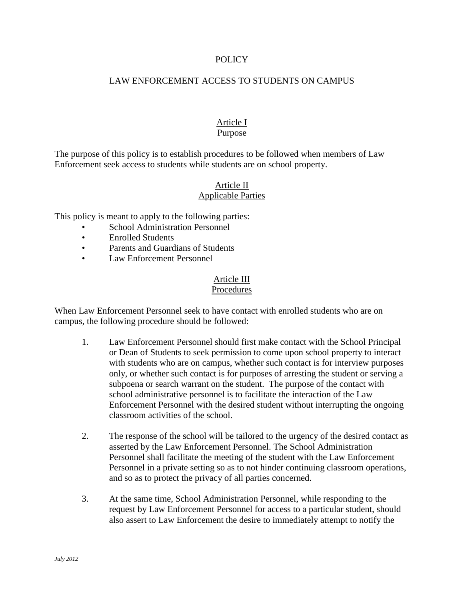## **POLICY**

## LAW ENFORCEMENT ACCESS TO STUDENTS ON CAMPUS

### Article I Purpose

The purpose of this policy is to establish procedures to be followed when members of Law Enforcement seek access to students while students are on school property.

# Article II Applicable Parties

This policy is meant to apply to the following parties:

- School Administration Personnel
- Enrolled Students
- Parents and Guardians of Students
- Law Enforcement Personnel

#### Article III Procedures

When Law Enforcement Personnel seek to have contact with enrolled students who are on campus, the following procedure should be followed:

- 1. Law Enforcement Personnel should first make contact with the School Principal or Dean of Students to seek permission to come upon school property to interact with students who are on campus, whether such contact is for interview purposes only, or whether such contact is for purposes of arresting the student or serving a subpoena or search warrant on the student. The purpose of the contact with school administrative personnel is to facilitate the interaction of the Law Enforcement Personnel with the desired student without interrupting the ongoing classroom activities of the school.
- 2. The response of the school will be tailored to the urgency of the desired contact as asserted by the Law Enforcement Personnel. The School Administration Personnel shall facilitate the meeting of the student with the Law Enforcement Personnel in a private setting so as to not hinder continuing classroom operations, and so as to protect the privacy of all parties concerned.
- 3. At the same time, School Administration Personnel, while responding to the request by Law Enforcement Personnel for access to a particular student, should also assert to Law Enforcement the desire to immediately attempt to notify the